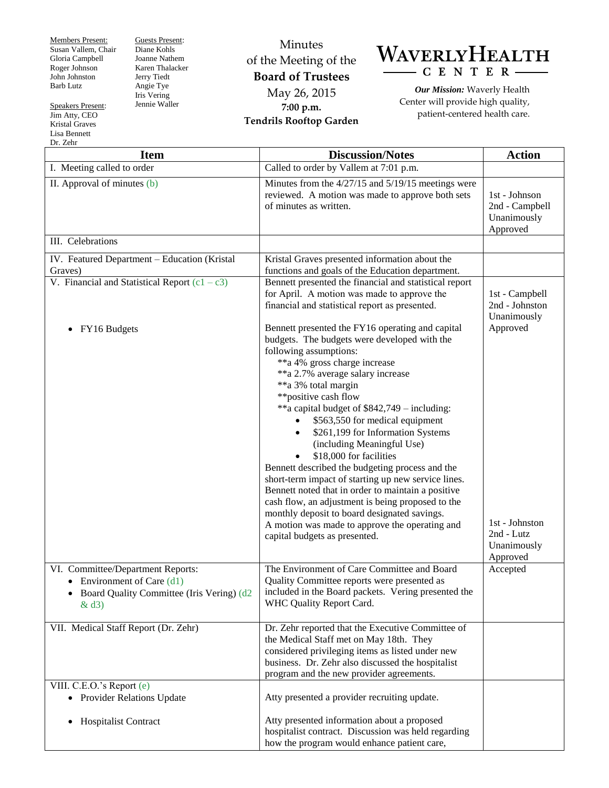Members Present: Susan Vallem, Chair Gloria Campbell Roger Johnson John Johnston Barb Lutz

Speakers Present: Jim Atty, CEO Kristal Graves Lisa Bennett

Guests Present: Diane Kohls Joanne Nathem Karen Thalacker Jerry Tiedt Angie Tye Iris Vering Jennie Waller

Minutes of the Meeting of the **Board of Trustees** May 26, 2015 **7:00 p.m. Tendrils Rooftop Garden**



*Our Mission:* Waverly Health Center will provide high quality, patient-centered health care.

| Dr. Zehr                                                                                                                  |                                                                                                                                                                                                                                                                                                                                                                                                                                                                                                                                                                                                                                                                                                                                                                                                     |                                                            |  |  |
|---------------------------------------------------------------------------------------------------------------------------|-----------------------------------------------------------------------------------------------------------------------------------------------------------------------------------------------------------------------------------------------------------------------------------------------------------------------------------------------------------------------------------------------------------------------------------------------------------------------------------------------------------------------------------------------------------------------------------------------------------------------------------------------------------------------------------------------------------------------------------------------------------------------------------------------------|------------------------------------------------------------|--|--|
| <b>Item</b>                                                                                                               | <b>Discussion/Notes</b>                                                                                                                                                                                                                                                                                                                                                                                                                                                                                                                                                                                                                                                                                                                                                                             | <b>Action</b>                                              |  |  |
| I. Meeting called to order                                                                                                | Called to order by Vallem at 7:01 p.m.                                                                                                                                                                                                                                                                                                                                                                                                                                                                                                                                                                                                                                                                                                                                                              |                                                            |  |  |
| II. Approval of minutes (b)                                                                                               | Minutes from the 4/27/15 and 5/19/15 meetings were<br>reviewed. A motion was made to approve both sets<br>of minutes as written.                                                                                                                                                                                                                                                                                                                                                                                                                                                                                                                                                                                                                                                                    | 1st - Johnson<br>2nd - Campbell<br>Unanimously<br>Approved |  |  |
| III. Celebrations                                                                                                         |                                                                                                                                                                                                                                                                                                                                                                                                                                                                                                                                                                                                                                                                                                                                                                                                     |                                                            |  |  |
| IV. Featured Department - Education (Kristal<br>Graves)                                                                   | Kristal Graves presented information about the<br>functions and goals of the Education department.                                                                                                                                                                                                                                                                                                                                                                                                                                                                                                                                                                                                                                                                                                  |                                                            |  |  |
| V. Financial and Statistical Report $(c1 - c3)$                                                                           | Bennett presented the financial and statistical report<br>for April. A motion was made to approve the<br>financial and statistical report as presented.                                                                                                                                                                                                                                                                                                                                                                                                                                                                                                                                                                                                                                             | 1st - Campbell<br>2nd - Johnston<br>Unanimously            |  |  |
| FY16 Budgets<br>٠                                                                                                         | Bennett presented the FY16 operating and capital<br>budgets. The budgets were developed with the<br>following assumptions:<br>**a 4% gross charge increase<br>**a 2.7% average salary increase<br>**a 3% total margin<br>**positive cash flow<br>**a capital budget of \$842,749 – including:<br>\$563,550 for medical equipment<br>\$261,199 for Information Systems<br>$\bullet$<br>(including Meaningful Use)<br>\$18,000 for facilities<br>Bennett described the budgeting process and the<br>short-term impact of starting up new service lines.<br>Bennett noted that in order to maintain a positive<br>cash flow, an adjustment is being proposed to the<br>monthly deposit to board designated savings.<br>A motion was made to approve the operating and<br>capital budgets as presented. | Approved<br>1st - Johnston<br>2nd - Lutz<br>Unanimously    |  |  |
| VI. Committee/Department Reports:<br>• Environment of Care $(d1)$<br>Board Quality Committee (Iris Vering) (d2<br>$&$ d3) | The Environment of Care Committee and Board<br>Quality Committee reports were presented as<br>included in the Board packets. Vering presented the<br>WHC Quality Report Card.                                                                                                                                                                                                                                                                                                                                                                                                                                                                                                                                                                                                                       | Approved<br>Accepted                                       |  |  |
| VII. Medical Staff Report (Dr. Zehr)                                                                                      | Dr. Zehr reported that the Executive Committee of<br>the Medical Staff met on May 18th. They<br>considered privileging items as listed under new<br>business. Dr. Zehr also discussed the hospitalist<br>program and the new provider agreements.                                                                                                                                                                                                                                                                                                                                                                                                                                                                                                                                                   |                                                            |  |  |
| VIII. C.E.O.'s Report (e)<br>• Provider Relations Update                                                                  | Atty presented a provider recruiting update.                                                                                                                                                                                                                                                                                                                                                                                                                                                                                                                                                                                                                                                                                                                                                        |                                                            |  |  |
| <b>Hospitalist Contract</b><br>$\bullet$                                                                                  | Atty presented information about a proposed<br>hospitalist contract. Discussion was held regarding<br>how the program would enhance patient care,                                                                                                                                                                                                                                                                                                                                                                                                                                                                                                                                                                                                                                                   |                                                            |  |  |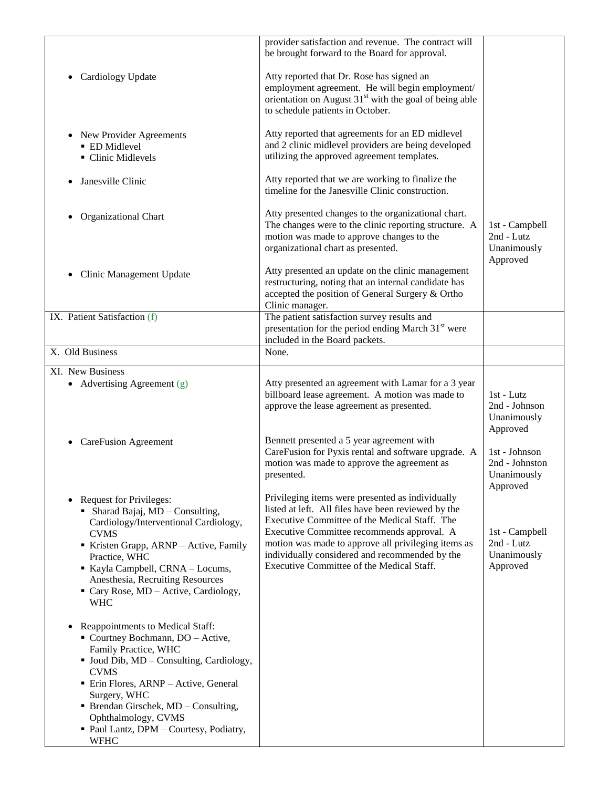|                                                                                                                                                                                                                                                                                                                                            | provider satisfaction and revenue. The contract will<br>be brought forward to the Board for approval.                                                                                                                                                                                                                                                        |                                                            |
|--------------------------------------------------------------------------------------------------------------------------------------------------------------------------------------------------------------------------------------------------------------------------------------------------------------------------------------------|--------------------------------------------------------------------------------------------------------------------------------------------------------------------------------------------------------------------------------------------------------------------------------------------------------------------------------------------------------------|------------------------------------------------------------|
| Cardiology Update<br>٠                                                                                                                                                                                                                                                                                                                     | Atty reported that Dr. Rose has signed an<br>employment agreement. He will begin employment/<br>orientation on August $31st$ with the goal of being able<br>to schedule patients in October.                                                                                                                                                                 |                                                            |
| New Provider Agreements<br>$\bullet$<br>• ED Midlevel<br>• Clinic Midlevels                                                                                                                                                                                                                                                                | Atty reported that agreements for an ED midlevel<br>and 2 clinic midlevel providers are being developed<br>utilizing the approved agreement templates.                                                                                                                                                                                                       |                                                            |
| Janesville Clinic<br>$\bullet$                                                                                                                                                                                                                                                                                                             | Atty reported that we are working to finalize the<br>timeline for the Janesville Clinic construction.                                                                                                                                                                                                                                                        |                                                            |
| Organizational Chart                                                                                                                                                                                                                                                                                                                       | Atty presented changes to the organizational chart.<br>The changes were to the clinic reporting structure. A<br>motion was made to approve changes to the<br>organizational chart as presented.                                                                                                                                                              | 1st - Campbell<br>2nd - Lutz<br>Unanimously<br>Approved    |
| Clinic Management Update                                                                                                                                                                                                                                                                                                                   | Atty presented an update on the clinic management<br>restructuring, noting that an internal candidate has<br>accepted the position of General Surgery & Ortho<br>Clinic manager.                                                                                                                                                                             |                                                            |
| IX. Patient Satisfaction (f)                                                                                                                                                                                                                                                                                                               | The patient satisfaction survey results and<br>presentation for the period ending March 31 <sup>st</sup> were<br>included in the Board packets.                                                                                                                                                                                                              |                                                            |
| X. Old Business                                                                                                                                                                                                                                                                                                                            | None.                                                                                                                                                                                                                                                                                                                                                        |                                                            |
| XI. New Business                                                                                                                                                                                                                                                                                                                           |                                                                                                                                                                                                                                                                                                                                                              |                                                            |
| • Advertising Agreement $(g)$                                                                                                                                                                                                                                                                                                              | Atty presented an agreement with Lamar for a 3 year<br>billboard lease agreement. A motion was made to<br>approve the lease agreement as presented.                                                                                                                                                                                                          | $1st$ - Lutz<br>2nd - Johnson<br>Unanimously<br>Approved   |
| <b>CareFusion Agreement</b>                                                                                                                                                                                                                                                                                                                | Bennett presented a 5 year agreement with<br>CareFusion for Pyxis rental and software upgrade. A<br>motion was made to approve the agreement as<br>presented.                                                                                                                                                                                                | 1st - Johnson<br>2nd - Johnston<br>Unanimously<br>Approved |
| <b>Request for Privileges:</b><br>• Sharad Bajaj, MD - Consulting,<br>Cardiology/Interventional Cardiology,<br><b>CVMS</b><br>Kristen Grapp, ARNP - Active, Family<br>Practice, WHC<br>Kayla Campbell, CRNA - Locums,<br>Anesthesia, Recruiting Resources<br>Cary Rose, MD - Active, Cardiology,<br><b>WHC</b>                             | Privileging items were presented as individually<br>listed at left. All files have been reviewed by the<br>Executive Committee of the Medical Staff. The<br>Executive Committee recommends approval. A<br>motion was made to approve all privileging items as<br>individually considered and recommended by the<br>Executive Committee of the Medical Staff. | 1st - Campbell<br>$2nd$ - Lutz<br>Unanimously<br>Approved  |
| Reappointments to Medical Staff:<br>• Courtney Bochmann, DO - Active,<br>Family Practice, WHC<br>• Joud Dib, MD - Consulting, Cardiology,<br><b>CVMS</b><br>• Erin Flores, ARNP - Active, General<br>Surgery, WHC<br>• Brendan Girschek, MD - Consulting,<br>Ophthalmology, CVMS<br>• Paul Lantz, DPM - Courtesy, Podiatry,<br><b>WFHC</b> |                                                                                                                                                                                                                                                                                                                                                              |                                                            |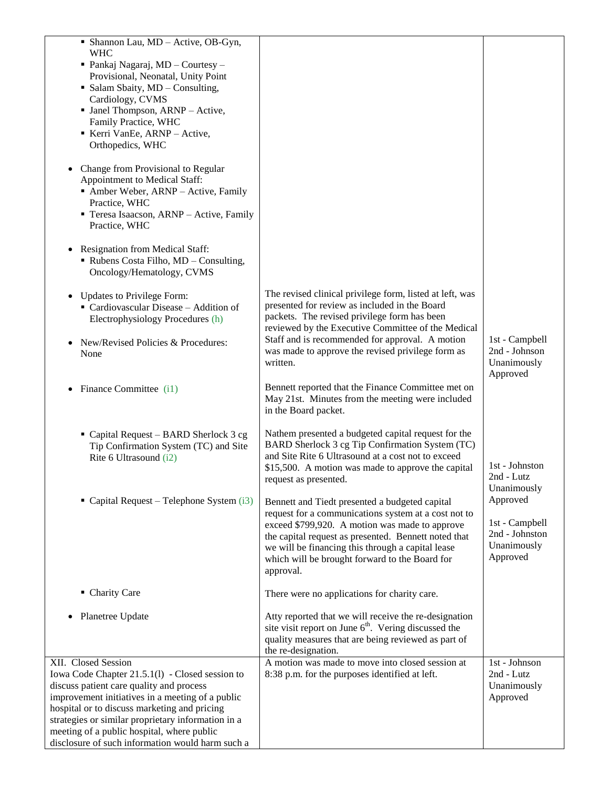| • Shannon Lau, MD - Active, OB-Gyn,<br><b>WHC</b><br>• Pankaj Nagaraj, $MD -$ Courtesy –<br>Provisional, Neonatal, Unity Point<br>• Salam Sbaity, MD - Consulting,<br>Cardiology, CVMS<br>• Janel Thompson, ARNP - Active,<br>Family Practice, WHC<br>Kerri VanEe, ARNP - Active,<br>Orthopedics, WHC<br>Change from Provisional to Regular<br>٠<br>Appointment to Medical Staff:<br>• Amber Weber, ARNP - Active, Family<br>Practice, WHC<br>Teresa Isaacson, ARNP - Active, Family |                                                                                                                                                                                                                                                                                                                                      |                                                                         |
|--------------------------------------------------------------------------------------------------------------------------------------------------------------------------------------------------------------------------------------------------------------------------------------------------------------------------------------------------------------------------------------------------------------------------------------------------------------------------------------|--------------------------------------------------------------------------------------------------------------------------------------------------------------------------------------------------------------------------------------------------------------------------------------------------------------------------------------|-------------------------------------------------------------------------|
| Practice, WHC<br>• Resignation from Medical Staff:<br>Rubens Costa Filho, MD - Consulting,<br>Oncology/Hematology, CVMS                                                                                                                                                                                                                                                                                                                                                              |                                                                                                                                                                                                                                                                                                                                      |                                                                         |
| • Updates to Privilege Form:<br>Cardiovascular Disease - Addition of<br>Electrophysiology Procedures (h)<br>New/Revised Policies & Procedures:<br>None                                                                                                                                                                                                                                                                                                                               | The revised clinical privilege form, listed at left, was<br>presented for review as included in the Board<br>packets. The revised privilege form has been<br>reviewed by the Executive Committee of the Medical<br>Staff and is recommended for approval. A motion<br>was made to approve the revised privilege form as<br>written.  | 1st - Campbell<br>2nd - Johnson<br>Unanimously<br>Approved              |
| Finance Committee (i1)                                                                                                                                                                                                                                                                                                                                                                                                                                                               | Bennett reported that the Finance Committee met on<br>May 21st. Minutes from the meeting were included<br>in the Board packet.                                                                                                                                                                                                       |                                                                         |
| • Capital Request – BARD Sherlock 3 cg<br>Tip Confirmation System (TC) and Site<br>Rite 6 Ultrasound (i2)                                                                                                                                                                                                                                                                                                                                                                            | Nathem presented a budgeted capital request for the<br>BARD Sherlock 3 cg Tip Confirmation System (TC)<br>and Site Rite 6 Ultrasound at a cost not to exceed<br>\$15,500. A motion was made to approve the capital<br>request as presented.                                                                                          | 1st - Johnston<br>2nd - Lutz<br>Unanimously                             |
| Capital Request - Telephone System (i3)                                                                                                                                                                                                                                                                                                                                                                                                                                              | Bennett and Tiedt presented a budgeted capital<br>request for a communications system at a cost not to<br>exceed \$799,920. A motion was made to approve<br>the capital request as presented. Bennett noted that<br>we will be financing this through a capital lease<br>which will be brought forward to the Board for<br>approval. | Approved<br>1st - Campbell<br>2nd - Johnston<br>Unanimously<br>Approved |
| • Charity Care                                                                                                                                                                                                                                                                                                                                                                                                                                                                       | There were no applications for charity care.                                                                                                                                                                                                                                                                                         |                                                                         |
| Planetree Update                                                                                                                                                                                                                                                                                                                                                                                                                                                                     | Atty reported that we will receive the re-designation<br>site visit report on June 6 <sup>th</sup> . Vering discussed the<br>quality measures that are being reviewed as part of<br>the re-designation.                                                                                                                              |                                                                         |
| XII. Closed Session<br>Iowa Code Chapter 21.5.1(1) - Closed session to<br>discuss patient care quality and process<br>improvement initiatives in a meeting of a public<br>hospital or to discuss marketing and pricing<br>strategies or similar proprietary information in a<br>meeting of a public hospital, where public<br>disclosure of such information would harm such a                                                                                                       | A motion was made to move into closed session at<br>8:38 p.m. for the purposes identified at left.                                                                                                                                                                                                                                   | 1st - Johnson<br>2nd - Lutz<br>Unanimously<br>Approved                  |